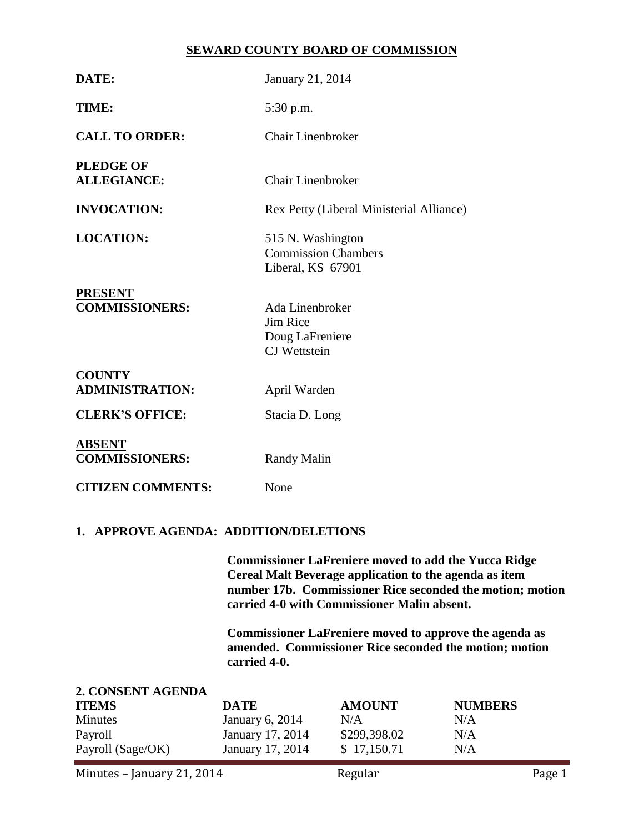## **SEWARD COUNTY BOARD OF COMMISSION**

| DATE:                                                                               |                                                                                                                                                                                                                                   | January 21, 2014                                                     |                                     |  |  |
|-------------------------------------------------------------------------------------|-----------------------------------------------------------------------------------------------------------------------------------------------------------------------------------------------------------------------------------|----------------------------------------------------------------------|-------------------------------------|--|--|
| TIME:                                                                               | 5:30 p.m.                                                                                                                                                                                                                         |                                                                      |                                     |  |  |
| <b>CALL TO ORDER:</b>                                                               | <b>Chair Linenbroker</b>                                                                                                                                                                                                          |                                                                      |                                     |  |  |
| <b>PLEDGE OF</b><br><b>ALLEGIANCE:</b>                                              | <b>Chair Linenbroker</b>                                                                                                                                                                                                          |                                                                      |                                     |  |  |
| <b>INVOCATION:</b>                                                                  |                                                                                                                                                                                                                                   | Rex Petty (Liberal Ministerial Alliance)                             |                                     |  |  |
| <b>LOCATION:</b>                                                                    |                                                                                                                                                                                                                                   | 515 N. Washington<br><b>Commission Chambers</b><br>Liberal, KS 67901 |                                     |  |  |
| <b>PRESENT</b><br><b>COMMISSIONERS:</b>                                             | Jim Rice                                                                                                                                                                                                                          | Ada Linenbroker<br>Doug LaFreniere<br><b>CJ</b> Wettstein            |                                     |  |  |
| <b>COUNTY</b><br><b>ADMINISTRATION:</b>                                             | April Warden                                                                                                                                                                                                                      |                                                                      |                                     |  |  |
| <b>CLERK'S OFFICE:</b>                                                              |                                                                                                                                                                                                                                   | Stacia D. Long                                                       |                                     |  |  |
| <b>ABSENT</b><br><b>COMMISSIONERS:</b>                                              | <b>Randy Malin</b>                                                                                                                                                                                                                |                                                                      |                                     |  |  |
| <b>CITIZEN COMMENTS:</b>                                                            | None                                                                                                                                                                                                                              |                                                                      |                                     |  |  |
| 1. APPROVE AGENDA: ADDITION/DELETIONS                                               |                                                                                                                                                                                                                                   |                                                                      |                                     |  |  |
|                                                                                     | <b>Commissioner LaFreniere moved to add the Yucca Ridge</b><br>Cereal Malt Beverage application to the agenda as item<br>number 17b. Commissioner Rice seconded the motion; motion<br>carried 4-0 with Commissioner Malin absent. |                                                                      |                                     |  |  |
|                                                                                     | <b>Commissioner LaFreniere moved to approve the agenda as</b><br>amended. Commissioner Rice seconded the motion; motion<br>carried 4-0.                                                                                           |                                                                      |                                     |  |  |
| 2. CONSENT AGENDA<br><b>ITEMS</b><br><b>Minutes</b><br>Payroll<br>Payroll (Sage/OK) | <b>DATE</b><br><b>January 6, 2014</b><br>January 17, 2014<br>January 17, 2014                                                                                                                                                     | <b>AMOUNT</b><br>N/A<br>\$299,398.02<br>\$17,150.71                  | <b>NUMBERS</b><br>N/A<br>N/A<br>N/A |  |  |

Minutes – January 21, 2014 Regular Regular Page 1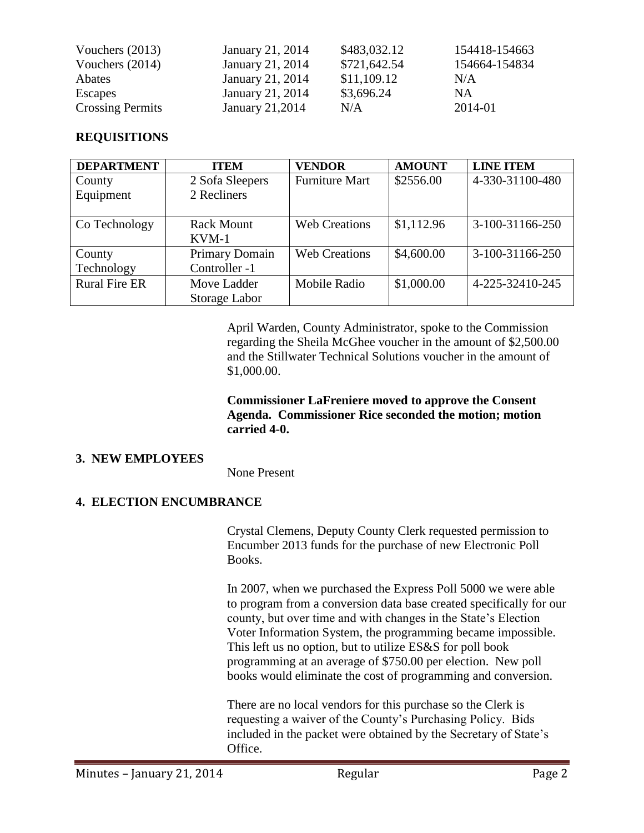| Vouchers $(2013)$       | January 21, 2014 | \$483,032.12 | 154418-154663 |
|-------------------------|------------------|--------------|---------------|
| Vouchers $(2014)$       | January 21, 2014 | \$721,642.54 | 154664-154834 |
| Abates                  | January 21, 2014 | \$11,109.12  | N/A           |
| Escapes                 | January 21, 2014 | \$3,696.24   | <b>NA</b>     |
| <b>Crossing Permits</b> | January 21,2014  | N/A          | 2014-01       |

### **REQUISITIONS**

| <b>DEPARTMENT</b>    | <b>ITEM</b>       | <b>VENDOR</b>         | <b>AMOUNT</b> | <b>LINE ITEM</b> |
|----------------------|-------------------|-----------------------|---------------|------------------|
| County               | 2 Sofa Sleepers   | <b>Furniture Mart</b> | \$2556.00     | 4-330-31100-480  |
| Equipment            | 2 Recliners       |                       |               |                  |
|                      |                   |                       |               |                  |
| Co Technology        | <b>Rack Mount</b> | <b>Web Creations</b>  | \$1,112.96    | 3-100-31166-250  |
|                      | $KVM-1$           |                       |               |                  |
| County               | Primary Domain    | <b>Web Creations</b>  | \$4,600.00    | 3-100-31166-250  |
| Technology           | Controller -1     |                       |               |                  |
| <b>Rural Fire ER</b> | Move Ladder       | Mobile Radio          | \$1,000.00    | 4-225-32410-245  |
|                      | Storage Labor     |                       |               |                  |

April Warden, County Administrator, spoke to the Commission regarding the Sheila McGhee voucher in the amount of \$2,500.00 and the Stillwater Technical Solutions voucher in the amount of \$1,000.00.

**Commissioner LaFreniere moved to approve the Consent Agenda. Commissioner Rice seconded the motion; motion carried 4-0.**

### **3. NEW EMPLOYEES**

None Present

### **4. ELECTION ENCUMBRANCE**

Crystal Clemens, Deputy County Clerk requested permission to Encumber 2013 funds for the purchase of new Electronic Poll Books.

In 2007, when we purchased the Express Poll 5000 we were able to program from a conversion data base created specifically for our county, but over time and with changes in the State's Election Voter Information System, the programming became impossible. This left us no option, but to utilize ES&S for poll book programming at an average of \$750.00 per election. New poll books would eliminate the cost of programming and conversion.

There are no local vendors for this purchase so the Clerk is requesting a waiver of the County's Purchasing Policy. Bids included in the packet were obtained by the Secretary of State's Office.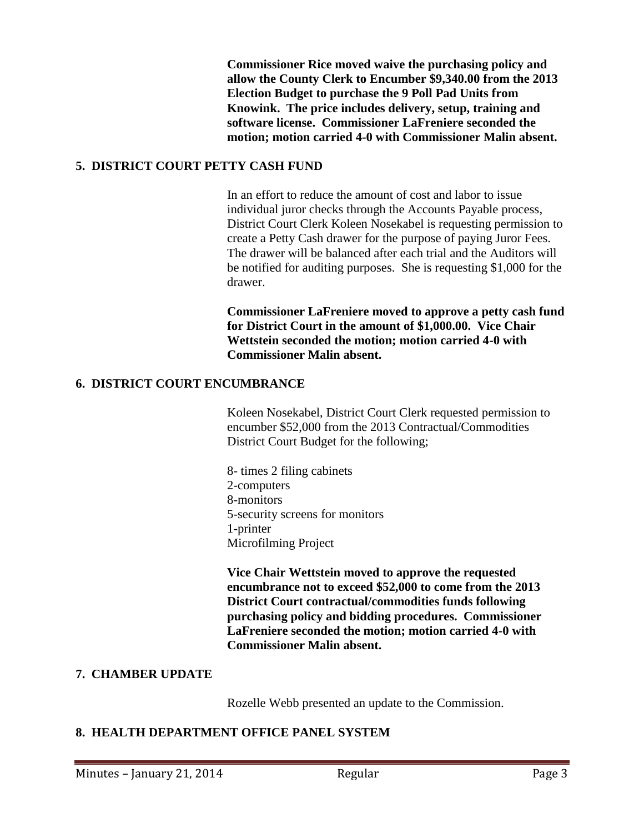**Commissioner Rice moved waive the purchasing policy and allow the County Clerk to Encumber \$9,340.00 from the 2013 Election Budget to purchase the 9 Poll Pad Units from Knowink. The price includes delivery, setup, training and software license. Commissioner LaFreniere seconded the motion; motion carried 4-0 with Commissioner Malin absent.**

### **5. DISTRICT COURT PETTY CASH FUND**

In an effort to reduce the amount of cost and labor to issue individual juror checks through the Accounts Payable process, District Court Clerk Koleen Nosekabel is requesting permission to create a Petty Cash drawer for the purpose of paying Juror Fees. The drawer will be balanced after each trial and the Auditors will be notified for auditing purposes. She is requesting \$1,000 for the drawer.

**Commissioner LaFreniere moved to approve a petty cash fund for District Court in the amount of \$1,000.00. Vice Chair Wettstein seconded the motion; motion carried 4-0 with Commissioner Malin absent.** 

### **6. DISTRICT COURT ENCUMBRANCE**

Koleen Nosekabel, District Court Clerk requested permission to encumber \$52,000 from the 2013 Contractual/Commodities District Court Budget for the following;

8- times 2 filing cabinets 2-computers 8-monitors 5-security screens for monitors 1-printer Microfilming Project

**Vice Chair Wettstein moved to approve the requested encumbrance not to exceed \$52,000 to come from the 2013 District Court contractual/commodities funds following purchasing policy and bidding procedures. Commissioner LaFreniere seconded the motion; motion carried 4-0 with Commissioner Malin absent.** 

# **7. CHAMBER UPDATE**

Rozelle Webb presented an update to the Commission.

### **8. HEALTH DEPARTMENT OFFICE PANEL SYSTEM**

Minutes – January 21, 2014 **Regular** Regular Page 3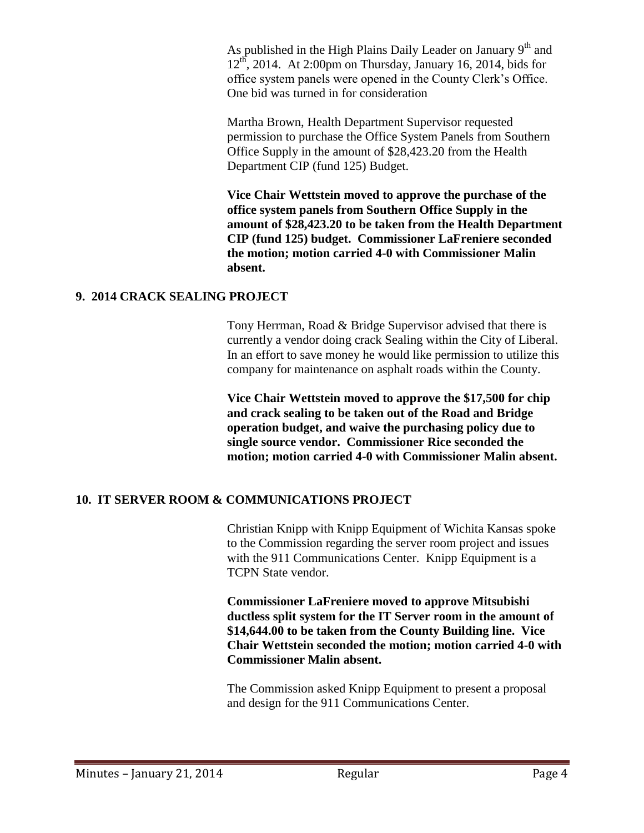As published in the High Plains Daily Leader on January  $9<sup>th</sup>$  and  $12<sup>th</sup>$ , 2014. At 2:00pm on Thursday, January 16, 2014, bids for office system panels were opened in the County Clerk's Office. One bid was turned in for consideration

Martha Brown, Health Department Supervisor requested permission to purchase the Office System Panels from Southern Office Supply in the amount of \$28,423.20 from the Health Department CIP (fund 125) Budget.

**Vice Chair Wettstein moved to approve the purchase of the office system panels from Southern Office Supply in the amount of \$28,423.20 to be taken from the Health Department CIP (fund 125) budget. Commissioner LaFreniere seconded the motion; motion carried 4-0 with Commissioner Malin absent.** 

#### **9. 2014 CRACK SEALING PROJECT**

Tony Herrman, Road & Bridge Supervisor advised that there is currently a vendor doing crack Sealing within the City of Liberal. In an effort to save money he would like permission to utilize this company for maintenance on asphalt roads within the County.

**Vice Chair Wettstein moved to approve the \$17,500 for chip and crack sealing to be taken out of the Road and Bridge operation budget, and waive the purchasing policy due to single source vendor. Commissioner Rice seconded the motion; motion carried 4-0 with Commissioner Malin absent.** 

### **10. IT SERVER ROOM & COMMUNICATIONS PROJECT**

Christian Knipp with Knipp Equipment of Wichita Kansas spoke to the Commission regarding the server room project and issues with the 911 Communications Center. Knipp Equipment is a TCPN State vendor.

**Commissioner LaFreniere moved to approve Mitsubishi ductless split system for the IT Server room in the amount of \$14,644.00 to be taken from the County Building line. Vice Chair Wettstein seconded the motion; motion carried 4-0 with Commissioner Malin absent.** 

The Commission asked Knipp Equipment to present a proposal and design for the 911 Communications Center.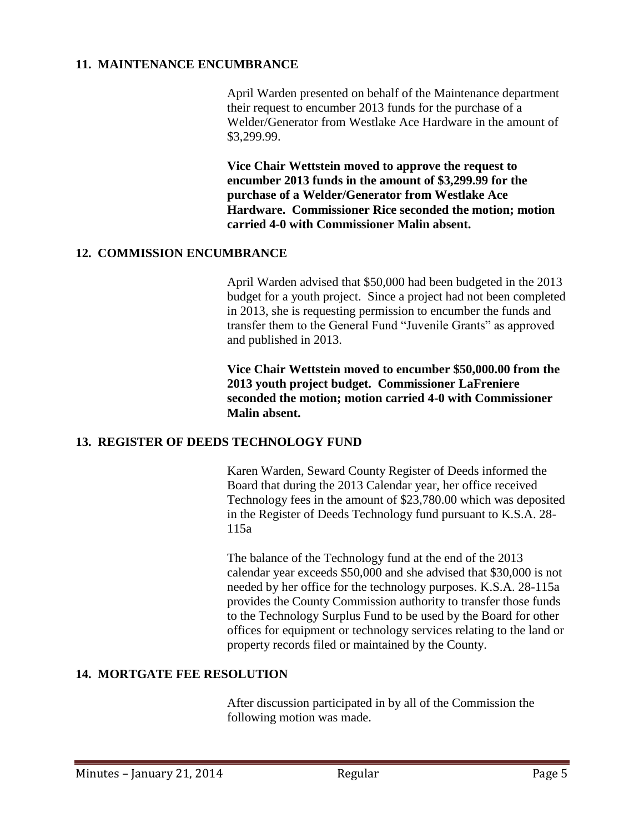### **11. MAINTENANCE ENCUMBRANCE**

April Warden presented on behalf of the Maintenance department their request to encumber 2013 funds for the purchase of a Welder/Generator from Westlake Ace Hardware in the amount of \$3,299.99.

**Vice Chair Wettstein moved to approve the request to encumber 2013 funds in the amount of \$3,299.99 for the purchase of a Welder/Generator from Westlake Ace Hardware. Commissioner Rice seconded the motion; motion carried 4-0 with Commissioner Malin absent.** 

#### **12. COMMISSION ENCUMBRANCE**

April Warden advised that \$50,000 had been budgeted in the 2013 budget for a youth project. Since a project had not been completed in 2013, she is requesting permission to encumber the funds and transfer them to the General Fund "Juvenile Grants" as approved and published in 2013.

**Vice Chair Wettstein moved to encumber \$50,000.00 from the 2013 youth project budget. Commissioner LaFreniere seconded the motion; motion carried 4-0 with Commissioner Malin absent.** 

#### **13. REGISTER OF DEEDS TECHNOLOGY FUND**

Karen Warden, Seward County Register of Deeds informed the Board that during the 2013 Calendar year, her office received Technology fees in the amount of \$23,780.00 which was deposited in the Register of Deeds Technology fund pursuant to K.S.A. 28- 115a

The balance of the Technology fund at the end of the 2013 calendar year exceeds \$50,000 and she advised that \$30,000 is not needed by her office for the technology purposes. K.S.A. 28-115a provides the County Commission authority to transfer those funds to the Technology Surplus Fund to be used by the Board for other offices for equipment or technology services relating to the land or property records filed or maintained by the County.

### **14. MORTGATE FEE RESOLUTION**

After discussion participated in by all of the Commission the following motion was made.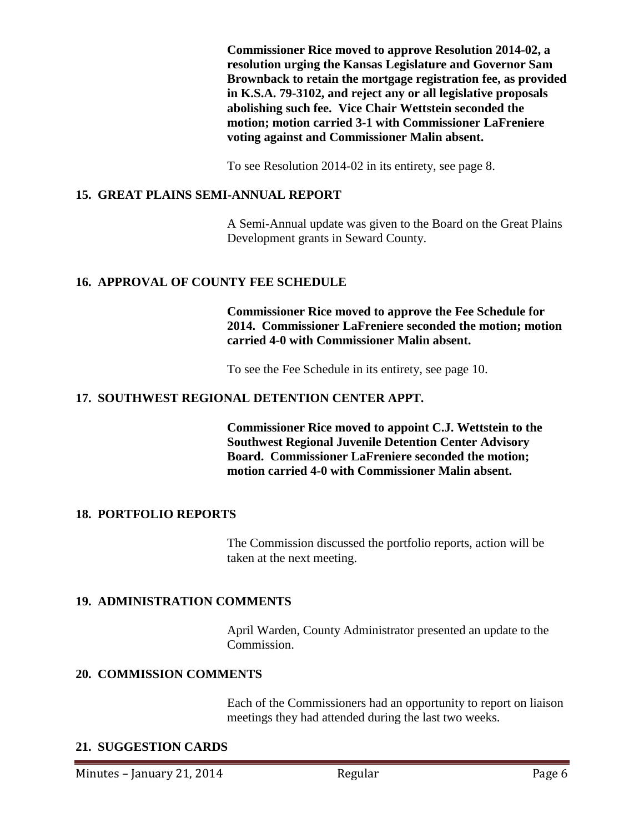**Commissioner Rice moved to approve Resolution 2014-02, a resolution urging the Kansas Legislature and Governor Sam Brownback to retain the mortgage registration fee, as provided in K.S.A. 79-3102, and reject any or all legislative proposals abolishing such fee. Vice Chair Wettstein seconded the motion; motion carried 3-1 with Commissioner LaFreniere voting against and Commissioner Malin absent.**

To see Resolution 2014-02 in its entirety, see page 8.

### **15. GREAT PLAINS SEMI-ANNUAL REPORT**

A Semi-Annual update was given to the Board on the Great Plains Development grants in Seward County.

## **16. APPROVAL OF COUNTY FEE SCHEDULE**

**Commissioner Rice moved to approve the Fee Schedule for 2014. Commissioner LaFreniere seconded the motion; motion carried 4-0 with Commissioner Malin absent.** 

To see the Fee Schedule in its entirety, see page 10.

### **17. SOUTHWEST REGIONAL DETENTION CENTER APPT.**

**Commissioner Rice moved to appoint C.J. Wettstein to the Southwest Regional Juvenile Detention Center Advisory Board. Commissioner LaFreniere seconded the motion; motion carried 4-0 with Commissioner Malin absent.** 

### **18. PORTFOLIO REPORTS**

The Commission discussed the portfolio reports, action will be taken at the next meeting.

### **19. ADMINISTRATION COMMENTS**

April Warden, County Administrator presented an update to the Commission.

### **20. COMMISSION COMMENTS**

Each of the Commissioners had an opportunity to report on liaison meetings they had attended during the last two weeks.

### **21. SUGGESTION CARDS**

Minutes – January 21, 2014 **Regular** Regular Page 6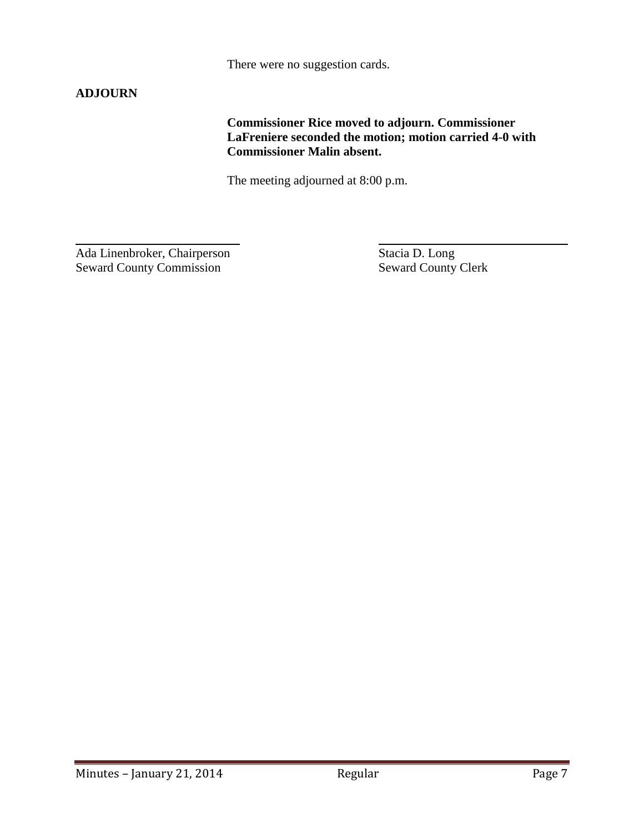There were no suggestion cards.

# **ADJOURN**

**Commissioner Rice moved to adjourn. Commissioner LaFreniere seconded the motion; motion carried 4-0 with Commissioner Malin absent.**

The meeting adjourned at 8:00 p.m.

 $\overline{a}$ Ada Linenbroker, Chairperson Stacia D. Long<br>Seward County Commission Seward County Clerk Seward County Commission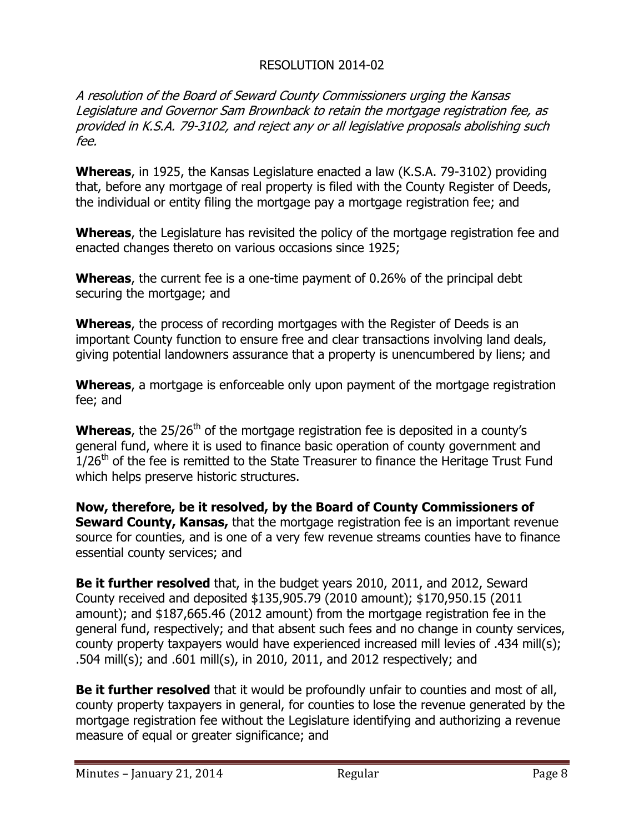# RESOLUTION 2014-02

A resolution of the Board of Seward County Commissioners urging the Kansas Legislature and Governor Sam Brownback to retain the mortgage registration fee, as provided in K.S.A. 79-3102, and reject any or all legislative proposals abolishing such fee.

**Whereas**, in 1925, the Kansas Legislature enacted a law (K.S.A. 79-3102) providing that, before any mortgage of real property is filed with the County Register of Deeds, the individual or entity filing the mortgage pay a mortgage registration fee; and

**Whereas**, the Legislature has revisited the policy of the mortgage registration fee and enacted changes thereto on various occasions since 1925;

**Whereas**, the current fee is a one-time payment of 0.26% of the principal debt securing the mortgage; and

**Whereas**, the process of recording mortgages with the Register of Deeds is an important County function to ensure free and clear transactions involving land deals, giving potential landowners assurance that a property is unencumbered by liens; and

**Whereas**, a mortgage is enforceable only upon payment of the mortgage registration fee; and

**Whereas**, the 25/26<sup>th</sup> of the mortgage registration fee is deposited in a county's general fund, where it is used to finance basic operation of county government and  $1/26<sup>th</sup>$  of the fee is remitted to the State Treasurer to finance the Heritage Trust Fund which helps preserve historic structures.

**Now, therefore, be it resolved, by the Board of County Commissioners of Seward County, Kansas,** that the mortgage registration fee is an important revenue source for counties, and is one of a very few revenue streams counties have to finance essential county services; and

**Be it further resolved** that, in the budget years 2010, 2011, and 2012, Seward County received and deposited \$135,905.79 (2010 amount); \$170,950.15 (2011 amount); and \$187,665.46 (2012 amount) from the mortgage registration fee in the general fund, respectively; and that absent such fees and no change in county services, county property taxpayers would have experienced increased mill levies of .434 mill(s); .504 mill(s); and .601 mill(s), in 2010, 2011, and 2012 respectively; and

**Be it further resolved** that it would be profoundly unfair to counties and most of all, county property taxpayers in general, for counties to lose the revenue generated by the mortgage registration fee without the Legislature identifying and authorizing a revenue measure of equal or greater significance; and